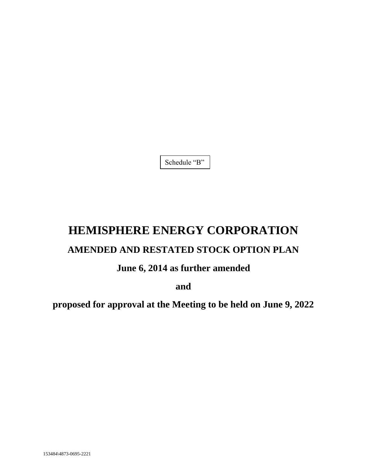Schedule "B"

# **HEMISPHERE ENERGY CORPORATION**

# **AMENDED AND RESTATED STOCK OPTION PLAN**

# **June 6, 2014 as further amended**

**and**

**proposed for approval at the Meeting to be held on June 9, 2022**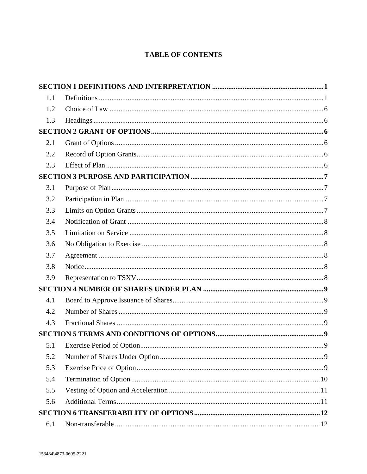# **TABLE OF CONTENTS**

| 1.1 |  |
|-----|--|
| 1.2 |  |
| 1.3 |  |
|     |  |
| 2.1 |  |
| 2.2 |  |
| 2.3 |  |
|     |  |
| 3.1 |  |
| 3.2 |  |
| 3.3 |  |
| 3.4 |  |
| 3.5 |  |
| 3.6 |  |
| 3.7 |  |
| 3.8 |  |
| 3.9 |  |
|     |  |
| 4.1 |  |
| 4.2 |  |
| 4.3 |  |
|     |  |
| 5.1 |  |
| 5.2 |  |
| 5.3 |  |
| 5.4 |  |
| 5.5 |  |
| 5.6 |  |
|     |  |
| 6.1 |  |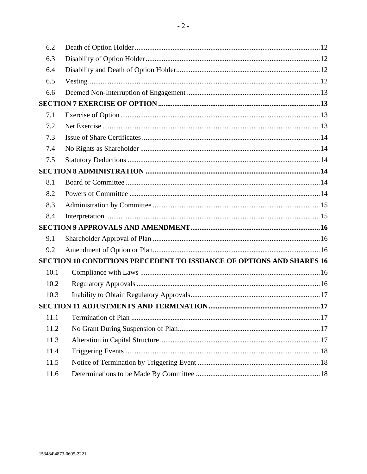| 6.2  |                                                                      |
|------|----------------------------------------------------------------------|
| 6.3  |                                                                      |
| 6.4  |                                                                      |
| 6.5  |                                                                      |
| 6.6  |                                                                      |
|      |                                                                      |
| 7.1  |                                                                      |
| 7.2  |                                                                      |
| 7.3  |                                                                      |
| 7.4  |                                                                      |
| 7.5  |                                                                      |
|      |                                                                      |
| 8.1  |                                                                      |
| 8.2  |                                                                      |
| 8.3  |                                                                      |
| 8.4  |                                                                      |
|      |                                                                      |
| 9.1  |                                                                      |
| 9.2  |                                                                      |
|      | SECTION 10 CONDITIONS PRECEDENT TO ISSUANCE OF OPTIONS AND SHARES 16 |
| 10.1 |                                                                      |
| 10.2 |                                                                      |
| 10.3 |                                                                      |
|      |                                                                      |
| 11.1 |                                                                      |
| 11.2 |                                                                      |
| 11.3 |                                                                      |
| 11.4 |                                                                      |
| 11.5 |                                                                      |
| 11.6 |                                                                      |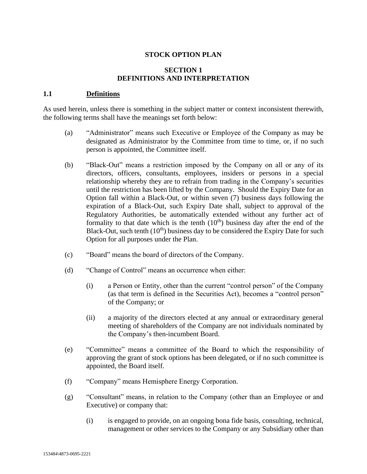# **STOCK OPTION PLAN**

#### **SECTION 1 DEFINITIONS AND INTERPRETATION**

#### **1.1 Definitions**

As used herein, unless there is something in the subject matter or context inconsistent therewith, the following terms shall have the meanings set forth below:

- (a) "Administrator" means such Executive or Employee of the Company as may be designated as Administrator by the Committee from time to time, or, if no such person is appointed, the Committee itself.
- (b) "Black-Out" means a restriction imposed by the Company on all or any of its directors, officers, consultants, employees, insiders or persons in a special relationship whereby they are to refrain from trading in the Company's securities until the restriction has been lifted by the Company. Should the Expiry Date for an Option fall within a Black-Out, or within seven (7) business days following the expiration of a Black-Out, such Expiry Date shall, subject to approval of the Regulatory Authorities, be automatically extended without any further act of formality to that date which is the tenth  $(10<sup>th</sup>)$  business day after the end of the Black-Out, such tenth  $(10<sup>th</sup>)$  business day to be considered the Expiry Date for such Option for all purposes under the Plan.
- (c) "Board" means the board of directors of the Company.
- (d) "Change of Control" means an occurrence when either:
	- (i) a Person or Entity, other than the current "control person" of the Company (as that term is defined in the Securities Act), becomes a "control person" of the Company; or
	- (ii) a majority of the directors elected at any annual or extraordinary general meeting of shareholders of the Company are not individuals nominated by the Company's then-incumbent Board.
- (e) "Committee" means a committee of the Board to which the responsibility of approving the grant of stock options has been delegated, or if no such committee is appointed, the Board itself.
- (f) "Company" means Hemisphere Energy Corporation.
- (g) "Consultant" means, in relation to the Company (other than an Employee or and Executive) or company that:
	- (i) is engaged to provide, on an ongoing bona fide basis, consulting, technical, management or other services to the Company or any Subsidiary other than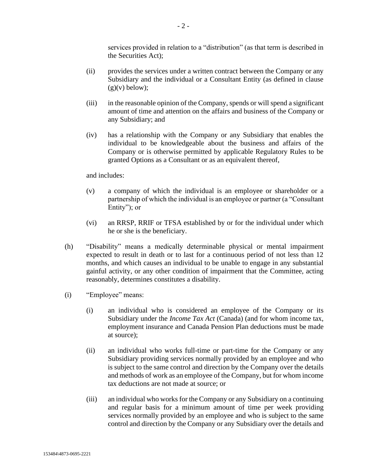services provided in relation to a "distribution" (as that term is described in the Securities Act);

- (ii) provides the services under a written contract between the Company or any Subsidiary and the individual or a Consultant Entity (as defined in clause  $(g)(v)$  below);
- (iii) in the reasonable opinion of the Company, spends or will spend a significant amount of time and attention on the affairs and business of the Company or any Subsidiary; and
- (iv) has a relationship with the Company or any Subsidiary that enables the individual to be knowledgeable about the business and affairs of the Company or is otherwise permitted by applicable Regulatory Rules to be granted Options as a Consultant or as an equivalent thereof,

and includes:

- (v) a company of which the individual is an employee or shareholder or a partnership of which the individual is an employee or partner (a "Consultant Entity"; or
- (vi) an RRSP, RRIF or TFSA established by or for the individual under which he or she is the beneficiary.
- (h) "Disability" means a medically determinable physical or mental impairment expected to result in death or to last for a continuous period of not less than 12 months, and which causes an individual to be unable to engage in any substantial gainful activity, or any other condition of impairment that the Committee, acting reasonably, determines constitutes a disability.
- (i) "Employee" means:
	- (i) an individual who is considered an employee of the Company or its Subsidiary under the *Income Tax Act* (Canada) (and for whom income tax, employment insurance and Canada Pension Plan deductions must be made at source);
	- (ii) an individual who works full-time or part-time for the Company or any Subsidiary providing services normally provided by an employee and who is subject to the same control and direction by the Company over the details and methods of work as an employee of the Company, but for whom income tax deductions are not made at source; or
	- (iii) an individual who works for the Company or any Subsidiary on a continuing and regular basis for a minimum amount of time per week providing services normally provided by an employee and who is subject to the same control and direction by the Company or any Subsidiary over the details and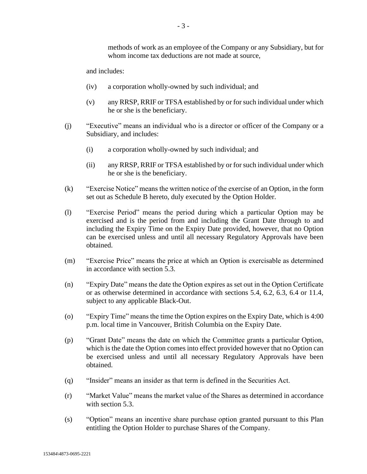methods of work as an employee of the Company or any Subsidiary, but for whom income tax deductions are not made at source.

and includes:

- (iv) a corporation wholly-owned by such individual; and
- (v) any RRSP, RRIF or TFSA established by or for such individual under which he or she is the beneficiary.
- (j) "Executive" means an individual who is a director or officer of the Company or a Subsidiary, and includes:
	- (i) a corporation wholly-owned by such individual; and
	- (ii) any RRSP, RRIF or TFSA established by or for such individual under which he or she is the beneficiary.
- (k) "Exercise Notice" means the written notice of the exercise of an Option, in the form set out as Schedule B hereto, duly executed by the Option Holder.
- (l) "Exercise Period" means the period during which a particular Option may be exercised and is the period from and including the Grant Date through to and including the Expiry Time on the Expiry Date provided, however, that no Option can be exercised unless and until all necessary Regulatory Approvals have been obtained.
- (m) "Exercise Price" means the price at which an Option is exercisable as determined in accordance with section 5.3.
- (n) "Expiry Date" means the date the Option expires as set out in the Option Certificate or as otherwise determined in accordance with sections 5.4, 6.2, 6.3, 6.4 or 11.4, subject to any applicable Black-Out.
- (o) "Expiry Time" means the time the Option expires on the Expiry Date, which is 4:00 p.m. local time in Vancouver, British Columbia on the Expiry Date.
- (p) "Grant Date" means the date on which the Committee grants a particular Option, which is the date the Option comes into effect provided however that no Option can be exercised unless and until all necessary Regulatory Approvals have been obtained.
- (q) "Insider" means an insider as that term is defined in the Securities Act.
- (r) "Market Value" means the market value of the Shares as determined in accordance with section 5.3.
- (s) "Option" means an incentive share purchase option granted pursuant to this Plan entitling the Option Holder to purchase Shares of the Company.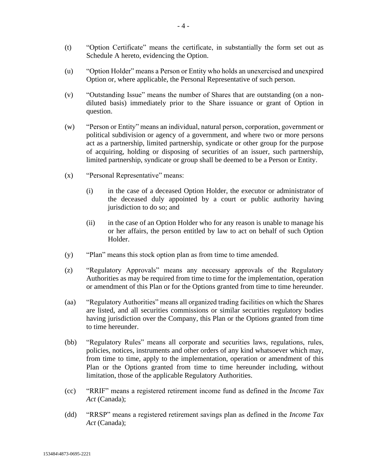- (t) "Option Certificate" means the certificate, in substantially the form set out as Schedule A hereto, evidencing the Option.
- (u) "Option Holder" means a Person or Entity who holds an unexercised and unexpired Option or, where applicable, the Personal Representative of such person.
- (v) "Outstanding Issue" means the number of Shares that are outstanding (on a nondiluted basis) immediately prior to the Share issuance or grant of Option in question.
- (w) "Person or Entity" means an individual, natural person, corporation, government or political subdivision or agency of a government, and where two or more persons act as a partnership, limited partnership, syndicate or other group for the purpose of acquiring, holding or disposing of securities of an issuer, such partnership, limited partnership, syndicate or group shall be deemed to be a Person or Entity.
- (x) "Personal Representative" means:
	- (i) in the case of a deceased Option Holder, the executor or administrator of the deceased duly appointed by a court or public authority having jurisdiction to do so; and
	- (ii) in the case of an Option Holder who for any reason is unable to manage his or her affairs, the person entitled by law to act on behalf of such Option Holder.
- (y) "Plan" means this stock option plan as from time to time amended.
- (z) "Regulatory Approvals" means any necessary approvals of the Regulatory Authorities as may be required from time to time for the implementation, operation or amendment of this Plan or for the Options granted from time to time hereunder.
- (aa) "Regulatory Authorities" means all organized trading facilities on which the Shares are listed, and all securities commissions or similar securities regulatory bodies having jurisdiction over the Company, this Plan or the Options granted from time to time hereunder.
- (bb) "Regulatory Rules" means all corporate and securities laws, regulations, rules, policies, notices, instruments and other orders of any kind whatsoever which may, from time to time, apply to the implementation, operation or amendment of this Plan or the Options granted from time to time hereunder including, without limitation, those of the applicable Regulatory Authorities.
- (cc) "RRIF" means a registered retirement income fund as defined in the *Income Tax Act* (Canada);
- (dd) "RRSP" means a registered retirement savings plan as defined in the *Income Tax Act* (Canada);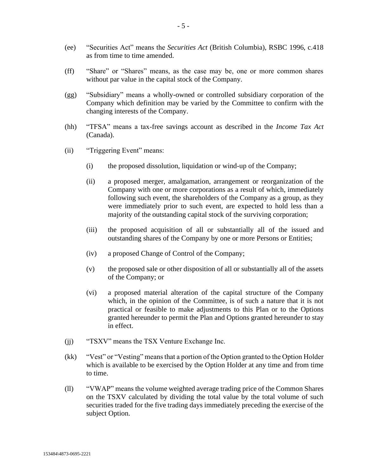- (ee) "Securities Act" means the *Securities Act* (British Columbia), RSBC 1996, c.418 as from time to time amended.
- (ff) "Share" or "Shares" means, as the case may be, one or more common shares without par value in the capital stock of the Company.
- (gg) "Subsidiary" means a wholly-owned or controlled subsidiary corporation of the Company which definition may be varied by the Committee to confirm with the changing interests of the Company.
- (hh) "TFSA" means a tax-free savings account as described in the *Income Tax Act* (Canada).
- (ii) "Triggering Event" means:
	- (i) the proposed dissolution, liquidation or wind-up of the Company;
	- (ii) a proposed merger, amalgamation, arrangement or reorganization of the Company with one or more corporations as a result of which, immediately following such event, the shareholders of the Company as a group, as they were immediately prior to such event, are expected to hold less than a majority of the outstanding capital stock of the surviving corporation;
	- (iii) the proposed acquisition of all or substantially all of the issued and outstanding shares of the Company by one or more Persons or Entities;
	- (iv) a proposed Change of Control of the Company;
	- (v) the proposed sale or other disposition of all or substantially all of the assets of the Company; or
	- (vi) a proposed material alteration of the capital structure of the Company which, in the opinion of the Committee, is of such a nature that it is not practical or feasible to make adjustments to this Plan or to the Options granted hereunder to permit the Plan and Options granted hereunder to stay in effect.
- (jj) "TSXV" means the TSX Venture Exchange Inc.
- (kk) "Vest" or "Vesting" means that a portion of the Option granted to the Option Holder which is available to be exercised by the Option Holder at any time and from time to time.
- (ll) "VWAP" means the volume weighted average trading price of the Common Shares on the TSXV calculated by dividing the total value by the total volume of such securities traded for the five trading days immediately preceding the exercise of the subject Option.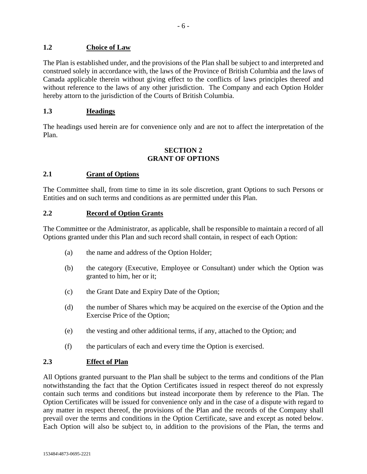# **1.2 Choice of Law**

The Plan is established under, and the provisions of the Plan shall be subject to and interpreted and construed solely in accordance with, the laws of the Province of British Columbia and the laws of Canada applicable therein without giving effect to the conflicts of laws principles thereof and without reference to the laws of any other jurisdiction. The Company and each Option Holder hereby attorn to the jurisdiction of the Courts of British Columbia.

#### **1.3 Headings**

The headings used herein are for convenience only and are not to affect the interpretation of the Plan.

#### **SECTION 2 GRANT OF OPTIONS**

# **2.1 Grant of Options**

The Committee shall, from time to time in its sole discretion, grant Options to such Persons or Entities and on such terms and conditions as are permitted under this Plan.

#### **2.2 Record of Option Grants**

The Committee or the Administrator, as applicable, shall be responsible to maintain a record of all Options granted under this Plan and such record shall contain, in respect of each Option:

- (a) the name and address of the Option Holder;
- (b) the category (Executive, Employee or Consultant) under which the Option was granted to him, her or it;
- (c) the Grant Date and Expiry Date of the Option;
- (d) the number of Shares which may be acquired on the exercise of the Option and the Exercise Price of the Option;
- (e) the vesting and other additional terms, if any, attached to the Option; and
- (f) the particulars of each and every time the Option is exercised.

#### **2.3 Effect of Plan**

All Options granted pursuant to the Plan shall be subject to the terms and conditions of the Plan notwithstanding the fact that the Option Certificates issued in respect thereof do not expressly contain such terms and conditions but instead incorporate them by reference to the Plan. The Option Certificates will be issued for convenience only and in the case of a dispute with regard to any matter in respect thereof, the provisions of the Plan and the records of the Company shall prevail over the terms and conditions in the Option Certificate, save and except as noted below. Each Option will also be subject to, in addition to the provisions of the Plan, the terms and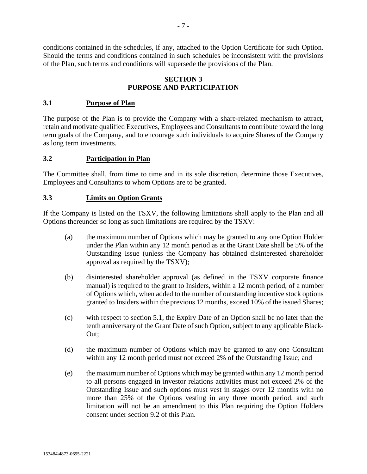conditions contained in the schedules, if any, attached to the Option Certificate for such Option. Should the terms and conditions contained in such schedules be inconsistent with the provisions of the Plan, such terms and conditions will supersede the provisions of the Plan.

#### **SECTION 3 PURPOSE AND PARTICIPATION**

#### **3.1 Purpose of Plan**

The purpose of the Plan is to provide the Company with a share-related mechanism to attract, retain and motivate qualified Executives, Employees and Consultants to contribute toward the long term goals of the Company, and to encourage such individuals to acquire Shares of the Company as long term investments.

#### **3.2 Participation in Plan**

The Committee shall, from time to time and in its sole discretion, determine those Executives, Employees and Consultants to whom Options are to be granted.

#### **3.3 Limits on Option Grants**

If the Company is listed on the TSXV, the following limitations shall apply to the Plan and all Options thereunder so long as such limitations are required by the TSXV:

- (a) the maximum number of Options which may be granted to any one Option Holder under the Plan within any 12 month period as at the Grant Date shall be 5% of the Outstanding Issue (unless the Company has obtained disinterested shareholder approval as required by the TSXV);
- (b) disinterested shareholder approval (as defined in the TSXV corporate finance manual) is required to the grant to Insiders, within a 12 month period, of a number of Options which, when added to the number of outstanding incentive stock options granted to Insiders within the previous 12 months, exceed 10% of the issued Shares;
- (c) with respect to section 5.1, the Expiry Date of an Option shall be no later than the tenth anniversary of the Grant Date of such Option, subject to any applicable Black-Out;
- (d) the maximum number of Options which may be granted to any one Consultant within any 12 month period must not exceed 2% of the Outstanding Issue; and
- (e) the maximum number of Options which may be granted within any 12 month period to all persons engaged in investor relations activities must not exceed 2% of the Outstanding Issue and such options must vest in stages over 12 months with no more than 25% of the Options vesting in any three month period, and such limitation will not be an amendment to this Plan requiring the Option Holders consent under section 9.2 of this Plan.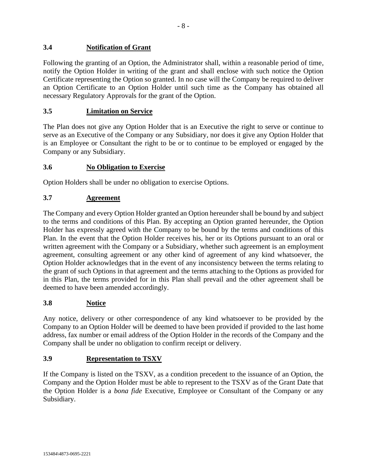# **3.4 Notification of Grant**

Following the granting of an Option, the Administrator shall, within a reasonable period of time, notify the Option Holder in writing of the grant and shall enclose with such notice the Option Certificate representing the Option so granted. In no case will the Company be required to deliver an Option Certificate to an Option Holder until such time as the Company has obtained all necessary Regulatory Approvals for the grant of the Option.

#### **3.5 Limitation on Service**

The Plan does not give any Option Holder that is an Executive the right to serve or continue to serve as an Executive of the Company or any Subsidiary, nor does it give any Option Holder that is an Employee or Consultant the right to be or to continue to be employed or engaged by the Company or any Subsidiary.

# **3.6 No Obligation to Exercise**

Option Holders shall be under no obligation to exercise Options.

# **3.7 Agreement**

The Company and every Option Holder granted an Option hereunder shall be bound by and subject to the terms and conditions of this Plan. By accepting an Option granted hereunder, the Option Holder has expressly agreed with the Company to be bound by the terms and conditions of this Plan. In the event that the Option Holder receives his, her or its Options pursuant to an oral or written agreement with the Company or a Subsidiary, whether such agreement is an employment agreement, consulting agreement or any other kind of agreement of any kind whatsoever, the Option Holder acknowledges that in the event of any inconsistency between the terms relating to the grant of such Options in that agreement and the terms attaching to the Options as provided for in this Plan, the terms provided for in this Plan shall prevail and the other agreement shall be deemed to have been amended accordingly.

#### **3.8 Notice**

Any notice, delivery or other correspondence of any kind whatsoever to be provided by the Company to an Option Holder will be deemed to have been provided if provided to the last home address, fax number or email address of the Option Holder in the records of the Company and the Company shall be under no obligation to confirm receipt or delivery.

#### **3.9 Representation to TSXV**

If the Company is listed on the TSXV, as a condition precedent to the issuance of an Option, the Company and the Option Holder must be able to represent to the TSXV as of the Grant Date that the Option Holder is a *bona fide* Executive, Employee or Consultant of the Company or any Subsidiary.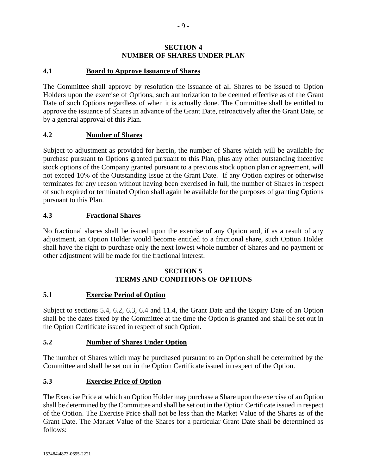#### **SECTION 4 NUMBER OF SHARES UNDER PLAN**

# **4.1 Board to Approve Issuance of Shares**

The Committee shall approve by resolution the issuance of all Shares to be issued to Option Holders upon the exercise of Options, such authorization to be deemed effective as of the Grant Date of such Options regardless of when it is actually done. The Committee shall be entitled to approve the issuance of Shares in advance of the Grant Date, retroactively after the Grant Date, or by a general approval of this Plan.

# **4.2 Number of Shares**

Subject to adjustment as provided for herein, the number of Shares which will be available for purchase pursuant to Options granted pursuant to this Plan, plus any other outstanding incentive stock options of the Company granted pursuant to a previous stock option plan or agreement, will not exceed 10% of the Outstanding Issue at the Grant Date. If any Option expires or otherwise terminates for any reason without having been exercised in full, the number of Shares in respect of such expired or terminated Option shall again be available for the purposes of granting Options pursuant to this Plan.

# **4.3 Fractional Shares**

No fractional shares shall be issued upon the exercise of any Option and, if as a result of any adjustment, an Option Holder would become entitled to a fractional share, such Option Holder shall have the right to purchase only the next lowest whole number of Shares and no payment or other adjustment will be made for the fractional interest.

#### **SECTION 5 TERMS AND CONDITIONS OF OPTIONS**

#### **5.1 Exercise Period of Option**

Subject to sections 5.4, 6.2, 6.3, 6.4 and 11.4, the Grant Date and the Expiry Date of an Option shall be the dates fixed by the Committee at the time the Option is granted and shall be set out in the Option Certificate issued in respect of such Option.

#### **5.2 Number of Shares Under Option**

The number of Shares which may be purchased pursuant to an Option shall be determined by the Committee and shall be set out in the Option Certificate issued in respect of the Option.

# **5.3 Exercise Price of Option**

The Exercise Price at which an Option Holder may purchase a Share upon the exercise of an Option shall be determined by the Committee and shall be set out in the Option Certificate issued in respect of the Option. The Exercise Price shall not be less than the Market Value of the Shares as of the Grant Date. The Market Value of the Shares for a particular Grant Date shall be determined as follows: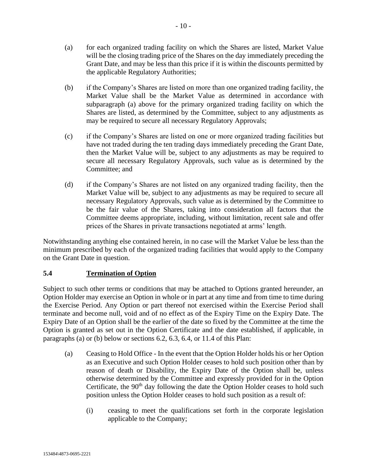- (a) for each organized trading facility on which the Shares are listed, Market Value will be the closing trading price of the Shares on the day immediately preceding the Grant Date, and may be less than this price if it is within the discounts permitted by the applicable Regulatory Authorities;
- (b) if the Company's Shares are listed on more than one organized trading facility, the Market Value shall be the Market Value as determined in accordance with subparagraph (a) above for the primary organized trading facility on which the Shares are listed, as determined by the Committee, subject to any adjustments as may be required to secure all necessary Regulatory Approvals;
- (c) if the Company's Shares are listed on one or more organized trading facilities but have not traded during the ten trading days immediately preceding the Grant Date, then the Market Value will be, subject to any adjustments as may be required to secure all necessary Regulatory Approvals, such value as is determined by the Committee; and
- (d) if the Company's Shares are not listed on any organized trading facility, then the Market Value will be, subject to any adjustments as may be required to secure all necessary Regulatory Approvals, such value as is determined by the Committee to be the fair value of the Shares, taking into consideration all factors that the Committee deems appropriate, including, without limitation, recent sale and offer prices of the Shares in private transactions negotiated at arms' length.

Notwithstanding anything else contained herein, in no case will the Market Value be less than the minimum prescribed by each of the organized trading facilities that would apply to the Company on the Grant Date in question.

# **5.4 Termination of Option**

Subject to such other terms or conditions that may be attached to Options granted hereunder, an Option Holder may exercise an Option in whole or in part at any time and from time to time during the Exercise Period. Any Option or part thereof not exercised within the Exercise Period shall terminate and become null, void and of no effect as of the Expiry Time on the Expiry Date. The Expiry Date of an Option shall be the earlier of the date so fixed by the Committee at the time the Option is granted as set out in the Option Certificate and the date established, if applicable, in paragraphs (a) or (b) below or sections 6.2, 6.3, 6.4, or 11.4 of this Plan:

- (a) Ceasing to Hold Office In the event that the Option Holder holds his or her Option as an Executive and such Option Holder ceases to hold such position other than by reason of death or Disability, the Expiry Date of the Option shall be, unless otherwise determined by the Committee and expressly provided for in the Option Certificate, the  $90<sup>th</sup>$  day following the date the Option Holder ceases to hold such position unless the Option Holder ceases to hold such position as a result of:
	- (i) ceasing to meet the qualifications set forth in the corporate legislation applicable to the Company;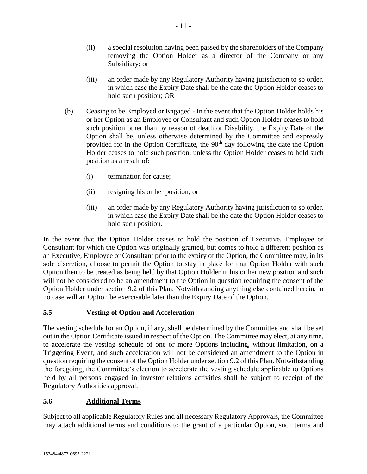- (ii) a special resolution having been passed by the shareholders of the Company removing the Option Holder as a director of the Company or any Subsidiary; or
- (iii) an order made by any Regulatory Authority having jurisdiction to so order, in which case the Expiry Date shall be the date the Option Holder ceases to hold such position; OR
- (b) Ceasing to be Employed or Engaged In the event that the Option Holder holds his or her Option as an Employee or Consultant and such Option Holder ceases to hold such position other than by reason of death or Disability, the Expiry Date of the Option shall be, unless otherwise determined by the Committee and expressly provided for in the Option Certificate, the 90<sup>th</sup> day following the date the Option Holder ceases to hold such position, unless the Option Holder ceases to hold such position as a result of:
	- (i) termination for cause;
	- (ii) resigning his or her position; or
	- (iii) an order made by any Regulatory Authority having jurisdiction to so order, in which case the Expiry Date shall be the date the Option Holder ceases to hold such position.

In the event that the Option Holder ceases to hold the position of Executive, Employee or Consultant for which the Option was originally granted, but comes to hold a different position as an Executive, Employee or Consultant prior to the expiry of the Option, the Committee may, in its sole discretion, choose to permit the Option to stay in place for that Option Holder with such Option then to be treated as being held by that Option Holder in his or her new position and such will not be considered to be an amendment to the Option in question requiring the consent of the Option Holder under section 9.2 of this Plan. Notwithstanding anything else contained herein, in no case will an Option be exercisable later than the Expiry Date of the Option.

# **5.5 Vesting of Option and Acceleration**

The vesting schedule for an Option, if any, shall be determined by the Committee and shall be set out in the Option Certificate issued in respect of the Option. The Committee may elect, at any time, to accelerate the vesting schedule of one or more Options including, without limitation, on a Triggering Event, and such acceleration will not be considered an amendment to the Option in question requiring the consent of the Option Holder under section 9.2 of this Plan. Notwithstanding the foregoing, the Committee's election to accelerate the vesting schedule applicable to Options held by all persons engaged in investor relations activities shall be subject to receipt of the Regulatory Authorities approval.

# **5.6 Additional Terms**

Subject to all applicable Regulatory Rules and all necessary Regulatory Approvals, the Committee may attach additional terms and conditions to the grant of a particular Option, such terms and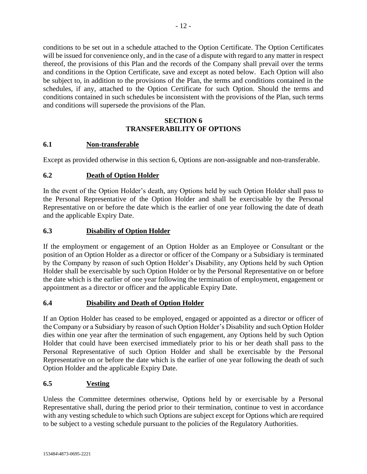conditions to be set out in a schedule attached to the Option Certificate. The Option Certificates will be issued for convenience only, and in the case of a dispute with regard to any matter in respect thereof, the provisions of this Plan and the records of the Company shall prevail over the terms and conditions in the Option Certificate, save and except as noted below. Each Option will also be subject to, in addition to the provisions of the Plan, the terms and conditions contained in the schedules, if any, attached to the Option Certificate for such Option. Should the terms and conditions contained in such schedules be inconsistent with the provisions of the Plan, such terms and conditions will supersede the provisions of the Plan.

# **SECTION 6 TRANSFERABILITY OF OPTIONS**

# **6.1 Non-transferable**

Except as provided otherwise in this section 6, Options are non-assignable and non-transferable.

# **6.2 Death of Option Holder**

In the event of the Option Holder's death, any Options held by such Option Holder shall pass to the Personal Representative of the Option Holder and shall be exercisable by the Personal Representative on or before the date which is the earlier of one year following the date of death and the applicable Expiry Date.

# **6.3 Disability of Option Holder**

If the employment or engagement of an Option Holder as an Employee or Consultant or the position of an Option Holder as a director or officer of the Company or a Subsidiary is terminated by the Company by reason of such Option Holder's Disability, any Options held by such Option Holder shall be exercisable by such Option Holder or by the Personal Representative on or before the date which is the earlier of one year following the termination of employment, engagement or appointment as a director or officer and the applicable Expiry Date.

# **6.4 Disability and Death of Option Holder**

If an Option Holder has ceased to be employed, engaged or appointed as a director or officer of the Company or a Subsidiary by reason of such Option Holder's Disability and such Option Holder dies within one year after the termination of such engagement, any Options held by such Option Holder that could have been exercised immediately prior to his or her death shall pass to the Personal Representative of such Option Holder and shall be exercisable by the Personal Representative on or before the date which is the earlier of one year following the death of such Option Holder and the applicable Expiry Date.

# **6.5 Vesting**

Unless the Committee determines otherwise, Options held by or exercisable by a Personal Representative shall, during the period prior to their termination, continue to vest in accordance with any vesting schedule to which such Options are subject except for Options which are required to be subject to a vesting schedule pursuant to the policies of the Regulatory Authorities.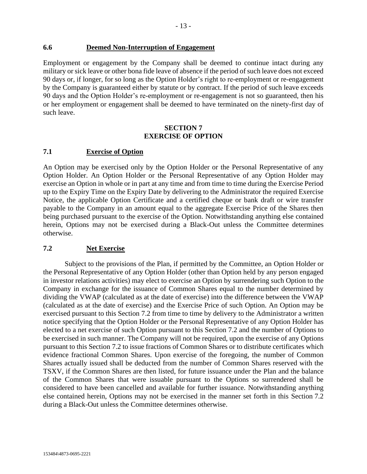#### **6.6 Deemed Non-Interruption of Engagement**

Employment or engagement by the Company shall be deemed to continue intact during any military or sick leave or other bona fide leave of absence if the period of such leave does not exceed 90 days or, if longer, for so long as the Option Holder's right to re-employment or re-engagement by the Company is guaranteed either by statute or by contract. If the period of such leave exceeds 90 days and the Option Holder's re-employment or re-engagement is not so guaranteed, then his or her employment or engagement shall be deemed to have terminated on the ninety-first day of such leave.

#### **SECTION 7 EXERCISE OF OPTION**

# **7.1 Exercise of Option**

An Option may be exercised only by the Option Holder or the Personal Representative of any Option Holder. An Option Holder or the Personal Representative of any Option Holder may exercise an Option in whole or in part at any time and from time to time during the Exercise Period up to the Expiry Time on the Expiry Date by delivering to the Administrator the required Exercise Notice, the applicable Option Certificate and a certified cheque or bank draft or wire transfer payable to the Company in an amount equal to the aggregate Exercise Price of the Shares then being purchased pursuant to the exercise of the Option. Notwithstanding anything else contained herein, Options may not be exercised during a Black-Out unless the Committee determines otherwise.

#### <span id="page-15-0"></span>**7.2 Net Exercise**

Subject to the provisions of the Plan, if permitted by the Committee, an Option Holder or the Personal Representative of any Option Holder (other than Option held by any person engaged in investor relations activities) may elect to exercise an Option by surrendering such Option to the Company in exchange for the issuance of Common Shares equal to the number determined by dividing the VWAP (calculated as at the date of exercise) into the difference between the VWAP (calculated as at the date of exercise) and the Exercise Price of such Option. An Option may be exercised pursuant to this Section [7.2](#page-15-0) from time to time by delivery to the Administrator a written notice specifying that the Option Holder or the Personal Representative of any Option Holder has elected to a net exercise of such Option pursuant to this Section [7.2](#page-15-0) and the number of Options to be exercised in such manner. The Company will not be required, upon the exercise of any Options pursuant to this Section [7.2](#page-15-0) to issue fractions of Common Shares or to distribute certificates which evidence fractional Common Shares. Upon exercise of the foregoing, the number of Common Shares actually issued shall be deducted from the number of Common Shares reserved with the TSXV, if the Common Shares are then listed, for future issuance under the Plan and the balance of the Common Shares that were issuable pursuant to the Options so surrendered shall be considered to have been cancelled and available for further issuance. Notwithstanding anything else contained herein, Options may not be exercised in the manner set forth in this Section [7.2](#page-15-0) during a Black-Out unless the Committee determines otherwise.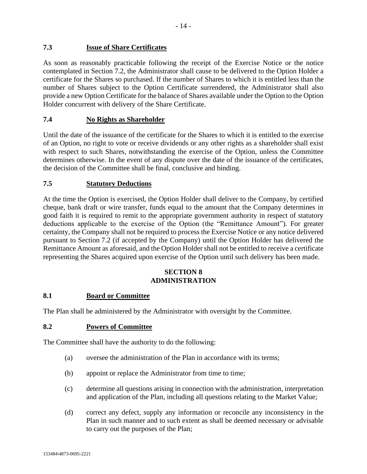# **7.3 Issue of Share Certificates**

As soon as reasonably practicable following the receipt of the Exercise Notice or the notice contemplated in Section [7.2,](#page-15-0) the Administrator shall cause to be delivered to the Option Holder a certificate for the Shares so purchased. If the number of Shares to which it is entitled less than the number of Shares subject to the Option Certificate surrendered, the Administrator shall also provide a new Option Certificate for the balance of Shares available under the Option to the Option Holder concurrent with delivery of the Share Certificate.

# **7.4 No Rights as Shareholder**

Until the date of the issuance of the certificate for the Shares to which it is entitled to the exercise of an Option, no right to vote or receive dividends or any other rights as a shareholder shall exist with respect to such Shares, notwithstanding the exercise of the Option, unless the Committee determines otherwise. In the event of any dispute over the date of the issuance of the certificates, the decision of the Committee shall be final, conclusive and binding.

# **7.5 Statutory Deductions**

At the time the Option is exercised, the Option Holder shall deliver to the Company, by certified cheque, bank draft or wire transfer, funds equal to the amount that the Company determines in good faith it is required to remit to the appropriate government authority in respect of statutory deductions applicable to the exercise of the Option (the "Remittance Amount"). For greater certainty, the Company shall not be required to process the Exercise Notice or any notice delivered pursuant to Section [7.2](#page-15-0) (if accepted by the Company) until the Option Holder has delivered the Remittance Amount as aforesaid, and the Option Holder shall not be entitled to receive a certificate representing the Shares acquired upon exercise of the Option until such delivery has been made.

#### **SECTION 8 ADMINISTRATION**

# **8.1 Board or Committee**

The Plan shall be administered by the Administrator with oversight by the Committee.

#### **8.2 Powers of Committee**

The Committee shall have the authority to do the following:

- (a) oversee the administration of the Plan in accordance with its terms;
- (b) appoint or replace the Administrator from time to time;
- (c) determine all questions arising in connection with the administration, interpretation and application of the Plan, including all questions relating to the Market Value;
- (d) correct any defect, supply any information or reconcile any inconsistency in the Plan in such manner and to such extent as shall be deemed necessary or advisable to carry out the purposes of the Plan;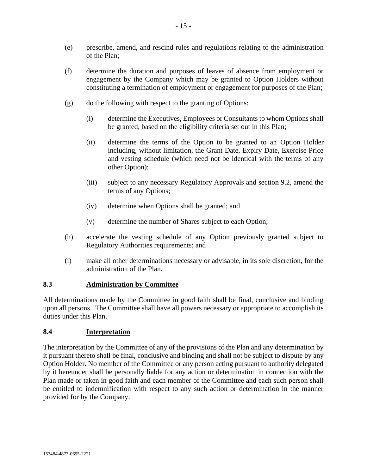- (e) prescribe, amend, and rescind rules and regulations relating to the administration of the Plan;
- (f) determine the duration and purposes of leaves of absence from employment or engagement by the Company which may be granted to Option Holders without constituting a termination of employment or engagement for purposes of the Plan;
- (g) do the following with respect to the granting of Options:
	- (i) determine the Executives, Employees or Consultants to whom Options shall be granted, based on the eligibility criteria set out in this Plan;
	- (ii) determine the terms of the Option to be granted to an Option Holder including, without limitation, the Grant Date, Expiry Date, Exercise Price and vesting schedule (which need not be identical with the terms of any other Option);
	- (iii) subject to any necessary Regulatory Approvals and section 9.2, amend the terms of any Options;
	- (iv) determine when Options shall be granted; and
	- (v) determine the number of Shares subject to each Option;
- (h) accelerate the vesting schedule of any Option previously granted subject to Regulatory Authorities requirements; and
- (i) make all other determinations necessary or advisable, in its sole discretion, for the administration of the Plan.

#### **8.3 Administration by Committee**

All determinations made by the Committee in good faith shall be final, conclusive and binding upon all persons. The Committee shall have all powers necessary or appropriate to accomplish its duties under this Plan.

#### **8.4 Interpretation**

The interpretation by the Committee of any of the provisions of the Plan and any determination by it pursuant thereto shall be final, conclusive and binding and shall not be subject to dispute by any Option Holder. No member of the Committee or any person acting pursuant to authority delegated by it hereunder shall be personally liable for any action or determination in connection with the Plan made or taken in good faith and each member of the Committee and each such person shall be entitled to indemnification with respect to any such action or determination in the manner provided for by the Company.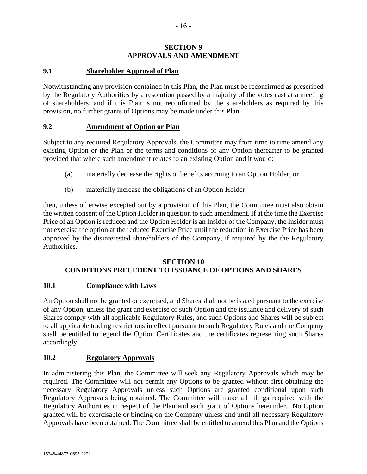# **SECTION 9 APPROVALS AND AMENDMENT**

# **9.1 Shareholder Approval of Plan**

Notwithstanding any provision contained in this Plan, the Plan must be reconfirmed as prescribed by the Regulatory Authorities by a resolution passed by a majority of the votes cast at a meeting of shareholders, and if this Plan is not reconfirmed by the shareholders as required by this provision, no further grants of Options may be made under this Plan.

#### **9.2 Amendment of Option or Plan**

Subject to any required Regulatory Approvals, the Committee may from time to time amend any existing Option or the Plan or the terms and conditions of any Option thereafter to be granted provided that where such amendment relates to an existing Option and it would:

- (a) materially decrease the rights or benefits accruing to an Option Holder; or
- (b) materially increase the obligations of an Option Holder;

then, unless otherwise excepted out by a provision of this Plan, the Committee must also obtain the written consent of the Option Holder in question to such amendment. If at the time the Exercise Price of an Option is reduced and the Option Holder is an Insider of the Company, the Insider must not exercise the option at the reduced Exercise Price until the reduction in Exercise Price has been approved by the disinterested shareholders of the Company, if required by the the Regulatory Authorities.

#### **SECTION 10 CONDITIONS PRECEDENT TO ISSUANCE OF OPTIONS AND SHARES**

#### **10.1 Compliance with Laws**

An Option shall not be granted or exercised, and Shares shall not be issued pursuant to the exercise of any Option, unless the grant and exercise of such Option and the issuance and delivery of such Shares comply with all applicable Regulatory Rules, and such Options and Shares will be subject to all applicable trading restrictions in effect pursuant to such Regulatory Rules and the Company shall be entitled to legend the Option Certificates and the certificates representing such Shares accordingly.

#### **10.2 Regulatory Approvals**

In administering this Plan, the Committee will seek any Regulatory Approvals which may be required. The Committee will not permit any Options to be granted without first obtaining the necessary Regulatory Approvals unless such Options are granted conditional upon such Regulatory Approvals being obtained. The Committee will make all filings required with the Regulatory Authorities in respect of the Plan and each grant of Options hereunder. No Option granted will be exercisable or binding on the Company unless and until all necessary Regulatory Approvals have been obtained. The Committee shall be entitled to amend this Plan and the Options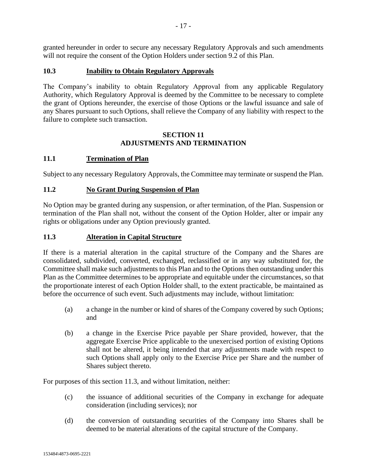granted hereunder in order to secure any necessary Regulatory Approvals and such amendments will not require the consent of the Option Holders under section 9.2 of this Plan.

#### **10.3 Inability to Obtain Regulatory Approvals**

The Company's inability to obtain Regulatory Approval from any applicable Regulatory Authority, which Regulatory Approval is deemed by the Committee to be necessary to complete the grant of Options hereunder, the exercise of those Options or the lawful issuance and sale of any Shares pursuant to such Options, shall relieve the Company of any liability with respect to the failure to complete such transaction.

#### **SECTION 11 ADJUSTMENTS AND TERMINATION**

# **11.1 Termination of Plan**

Subject to any necessary Regulatory Approvals, the Committee may terminate or suspend the Plan.

#### **11.2 No Grant During Suspension of Plan**

No Option may be granted during any suspension, or after termination, of the Plan. Suspension or termination of the Plan shall not, without the consent of the Option Holder, alter or impair any rights or obligations under any Option previously granted.

# **11.3 Alteration in Capital Structure**

If there is a material alteration in the capital structure of the Company and the Shares are consolidated, subdivided, converted, exchanged, reclassified or in any way substituted for, the Committee shall make such adjustments to this Plan and to the Options then outstanding under this Plan as the Committee determines to be appropriate and equitable under the circumstances, so that the proportionate interest of each Option Holder shall, to the extent practicable, be maintained as before the occurrence of such event. Such adjustments may include, without limitation:

- (a) a change in the number or kind of shares of the Company covered by such Options; and
- (b) a change in the Exercise Price payable per Share provided, however, that the aggregate Exercise Price applicable to the unexercised portion of existing Options shall not be altered, it being intended that any adjustments made with respect to such Options shall apply only to the Exercise Price per Share and the number of Shares subject thereto.

For purposes of this section 11.3, and without limitation, neither:

- (c) the issuance of additional securities of the Company in exchange for adequate consideration (including services); nor
- (d) the conversion of outstanding securities of the Company into Shares shall be deemed to be material alterations of the capital structure of the Company.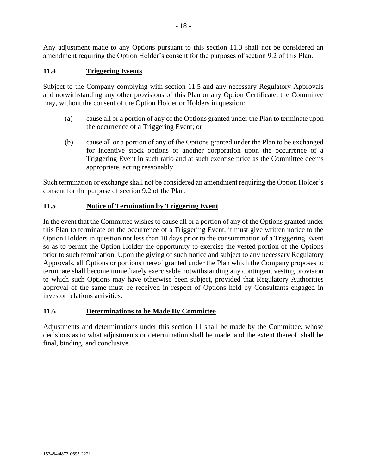Any adjustment made to any Options pursuant to this section 11.3 shall not be considered an amendment requiring the Option Holder's consent for the purposes of section 9.2 of this Plan.

# **11.4 Triggering Events**

Subject to the Company complying with section 11.5 and any necessary Regulatory Approvals and notwithstanding any other provisions of this Plan or any Option Certificate, the Committee may, without the consent of the Option Holder or Holders in question:

- (a) cause all or a portion of any of the Options granted under the Plan to terminate upon the occurrence of a Triggering Event; or
- (b) cause all or a portion of any of the Options granted under the Plan to be exchanged for incentive stock options of another corporation upon the occurrence of a Triggering Event in such ratio and at such exercise price as the Committee deems appropriate, acting reasonably.

Such termination or exchange shall not be considered an amendment requiring the Option Holder's consent for the purpose of section 9.2 of the Plan.

# **11.5 Notice of Termination by Triggering Event**

In the event that the Committee wishes to cause all or a portion of any of the Options granted under this Plan to terminate on the occurrence of a Triggering Event, it must give written notice to the Option Holders in question not less than 10 days prior to the consummation of a Triggering Event so as to permit the Option Holder the opportunity to exercise the vested portion of the Options prior to such termination. Upon the giving of such notice and subject to any necessary Regulatory Approvals, all Options or portions thereof granted under the Plan which the Company proposes to terminate shall become immediately exercisable notwithstanding any contingent vesting provision to which such Options may have otherwise been subject, provided that Regulatory Authorities approval of the same must be received in respect of Options held by Consultants engaged in investor relations activities.

#### **11.6 Determinations to be Made By Committee**

Adjustments and determinations under this section 11 shall be made by the Committee, whose decisions as to what adjustments or determination shall be made, and the extent thereof, shall be final, binding, and conclusive.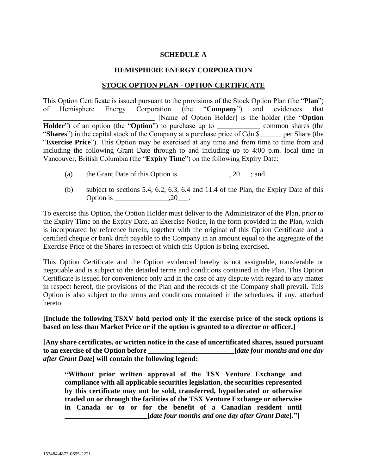# **SCHEDULE A**

#### **HEMISPHERE ENERGY CORPORATION**

#### **STOCK OPTION PLAN - OPTION CERTIFICATE**

This Option Certificate is issued pursuant to the provisions of the Stock Option Plan (the "**Plan**") of Hemisphere Energy Corporation (the "**Company**") and evidences that of Hemisphere Energy Corporation (the "**Company**") and evidences that \_\_\_\_\_\_\_\_\_\_\_\_\_\_\_\_\_\_\_\_\_\_\_\_\_\_\_\_\_\_\_ [Name of Option Holder] is the holder (the "**Option Holder**") of an option (the "**Option**") to purchase up to common shares (the "**Shares**") in the capital stock of the Company at a purchase price of Cdn.\$\_\_\_\_\_\_ per Share (the "**Exercise Price**"). This Option may be exercised at any time and from time to time from and including the following Grant Date through to and including up to 4:00 p.m. local time in Vancouver, British Columbia (the "**Expiry Time**") on the following Expiry Date:

- (a) the Grant Date of this Option is  $\qquad \qquad .20 \qquad ;$  and
- (b) subject to sections 5.4, 6.2, 6.3, 6.4 and 11.4 of the Plan, the Expiry Date of this Option is 20<sup>1</sup>, 20<sup>2</sup>

To exercise this Option, the Option Holder must deliver to the Administrator of the Plan, prior to the Expiry Time on the Expiry Date, an Exercise Notice, in the form provided in the Plan, which is incorporated by reference herein, together with the original of this Option Certificate and a certified cheque or bank draft payable to the Company in an amount equal to the aggregate of the Exercise Price of the Shares in respect of which this Option is being exercised.

This Option Certificate and the Option evidenced hereby is not assignable, transferable or negotiable and is subject to the detailed terms and conditions contained in the Plan. This Option Certificate is issued for convenience only and in the case of any dispute with regard to any matter in respect hereof, the provisions of the Plan and the records of the Company shall prevail. This Option is also subject to the terms and conditions contained in the schedules, if any, attached hereto.

**[Include the following TSXV hold period only if the exercise price of the stock options is based on less than Market Price or if the option is granted to a director or officer.]**

**[Any share certificates, or written notice in the case of uncertificated shares, issued pursuant to an exercise of the Option before \_\_\_\_\_\_\_\_\_\_\_\_\_\_\_\_\_\_\_\_\_\_\_\_[***date four months and one day after Grant Date***] will contain the following legend:**

**"Without prior written approval of the TSX Venture Exchange and compliance with all applicable securities legislation, the securities represented by this certificate may not be sold, transferred, hypothecated or otherwise traded on or through the facilities of the TSX Venture Exchange or otherwise in Canada or to or for the benefit of a Canadian resident until \_\_\_\_\_\_\_\_\_\_\_\_\_\_\_\_\_\_\_\_\_\_\_[***date four months and one day after Grant Date***]."]**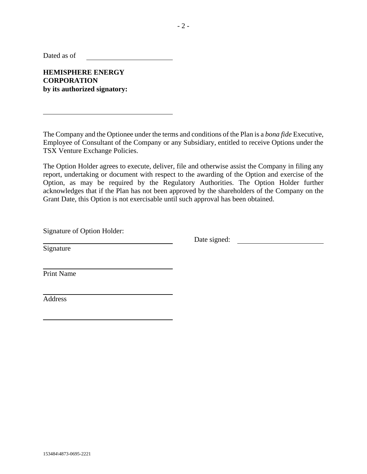Dated as of

**HEMISPHERE ENERGY CORPORATION by its authorized signatory:**

The Company and the Optionee under the terms and conditions of the Plan is a *bona fide* Executive, Employee of Consultant of the Company or any Subsidiary, entitled to receive Options under the TSX Venture Exchange Policies.

The Option Holder agrees to execute, deliver, file and otherwise assist the Company in filing any report, undertaking or document with respect to the awarding of the Option and exercise of the Option, as may be required by the Regulatory Authorities. The Option Holder further acknowledges that if the Plan has not been approved by the shareholders of the Company on the Grant Date, this Option is not exercisable until such approval has been obtained.

Signature of Option Holder:

Date signed:

**Signature** 

Print Name

Address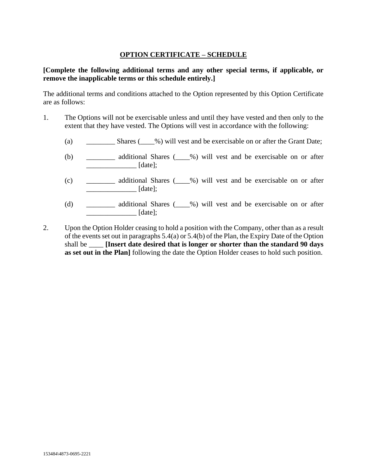# **OPTION CERTIFICATE – SCHEDULE**

# **[Complete the following additional terms and any other special terms, if applicable, or remove the inapplicable terms or this schedule entirely.]**

The additional terms and conditions attached to the Option represented by this Option Certificate are as follows:

- 1. The Options will not be exercisable unless and until they have vested and then only to the extent that they have vested. The Options will vest in accordance with the following:
	- (a) \_\_\_\_\_\_\_\_ Shares (\_\_\_%) will vest and be exercisable on or after the Grant Date;
	- (b) \_\_\_\_\_\_\_\_ additional Shares (\_\_\_\_%) will vest and be exercisable on or after \_\_\_\_\_\_\_\_\_\_\_\_\_\_ [date];
	- (c) \_\_\_\_\_\_\_\_ additional Shares (\_\_\_\_%) will vest and be exercisable on or after  $\lceil \text{date} \rceil$ ;
	- (d) \_\_\_\_\_\_\_\_ additional Shares (\_\_\_\_%) will vest and be exercisable on or after \_\_\_\_\_\_\_\_\_\_\_\_\_\_ [date];
- 2. Upon the Option Holder ceasing to hold a position with the Company, other than as a result of the events set out in paragraphs 5.4(a) or 5.4(b) of the Plan, the Expiry Date of the Option shall be **Insert date desired that is longer or shorter than the standard 90 days as set out in the Plan]** following the date the Option Holder ceases to hold such position.